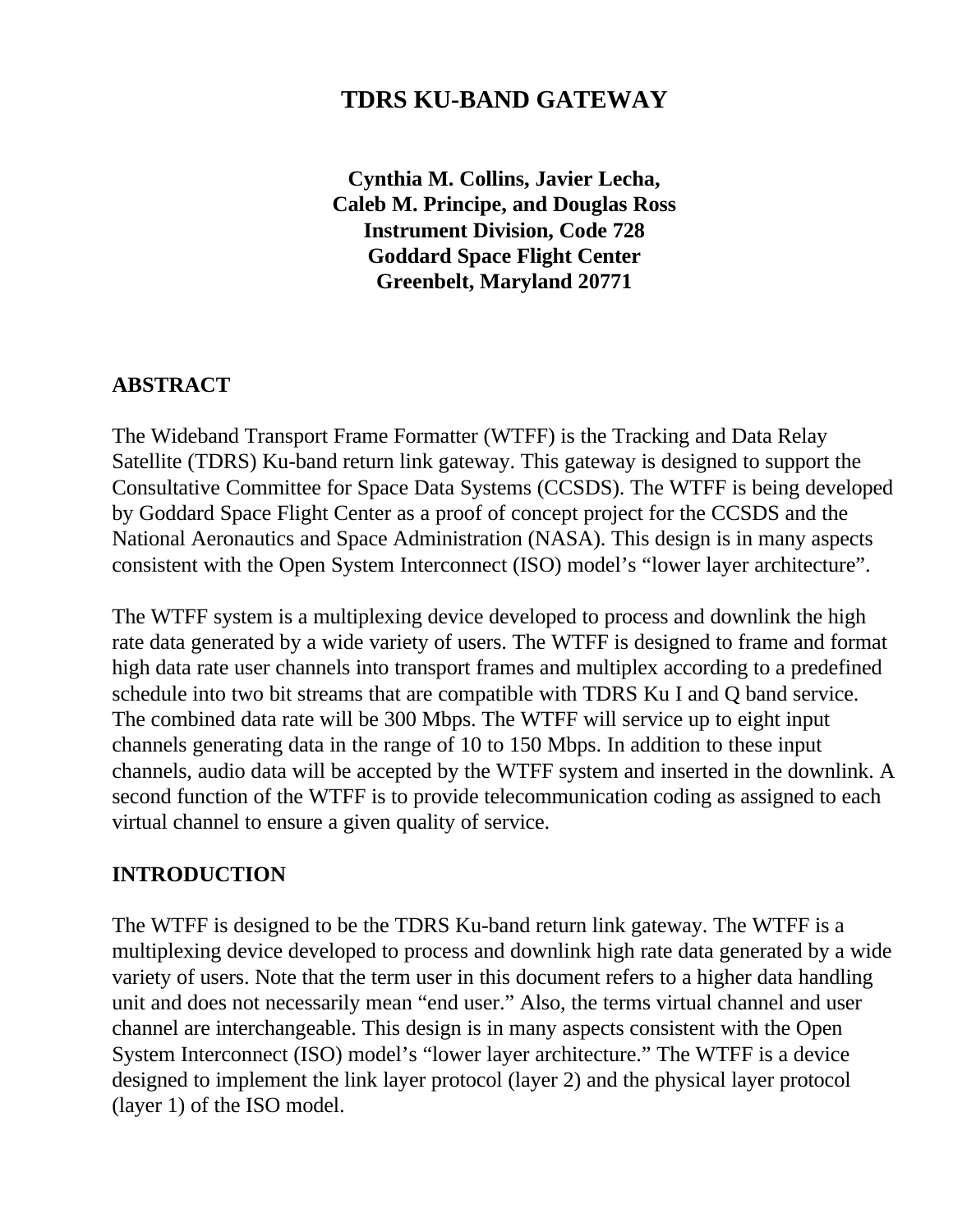# **TDRS KU-BAND GATEWAY**

**Cynthia M. Collins, Javier Lecha, Caleb M. Principe, and Douglas Ross Instrument Division, Code 728 Goddard Space Flight Center Greenbelt, Maryland 20771**

#### **ABSTRACT**

The Wideband Transport Frame Formatter (WTFF) is the Tracking and Data Relay Satellite (TDRS) Ku-band return link gateway. This gateway is designed to support the Consultative Committee for Space Data Systems (CCSDS). The WTFF is being developed by Goddard Space Flight Center as a proof of concept project for the CCSDS and the National Aeronautics and Space Administration (NASA). This design is in many aspects consistent with the Open System Interconnect (ISO) model's "lower layer architecture".

The WTFF system is a multiplexing device developed to process and downlink the high rate data generated by a wide variety of users. The WTFF is designed to frame and format high data rate user channels into transport frames and multiplex according to a predefined schedule into two bit streams that are compatible with TDRS Ku I and Q band service. The combined data rate will be 300 Mbps. The WTFF will service up to eight input channels generating data in the range of 10 to 150 Mbps. In addition to these input channels, audio data will be accepted by the WTFF system and inserted in the downlink. A second function of the WTFF is to provide telecommunication coding as assigned to each virtual channel to ensure a given quality of service.

#### **INTRODUCTION**

The WTFF is designed to be the TDRS Ku-band return link gateway. The WTFF is a multiplexing device developed to process and downlink high rate data generated by a wide variety of users. Note that the term user in this document refers to a higher data handling unit and does not necessarily mean "end user." Also, the terms virtual channel and user channel are interchangeable. This design is in many aspects consistent with the Open System Interconnect (ISO) model's "lower layer architecture." The WTFF is a device designed to implement the link layer protocol (layer 2) and the physical layer protocol (layer 1) of the ISO model.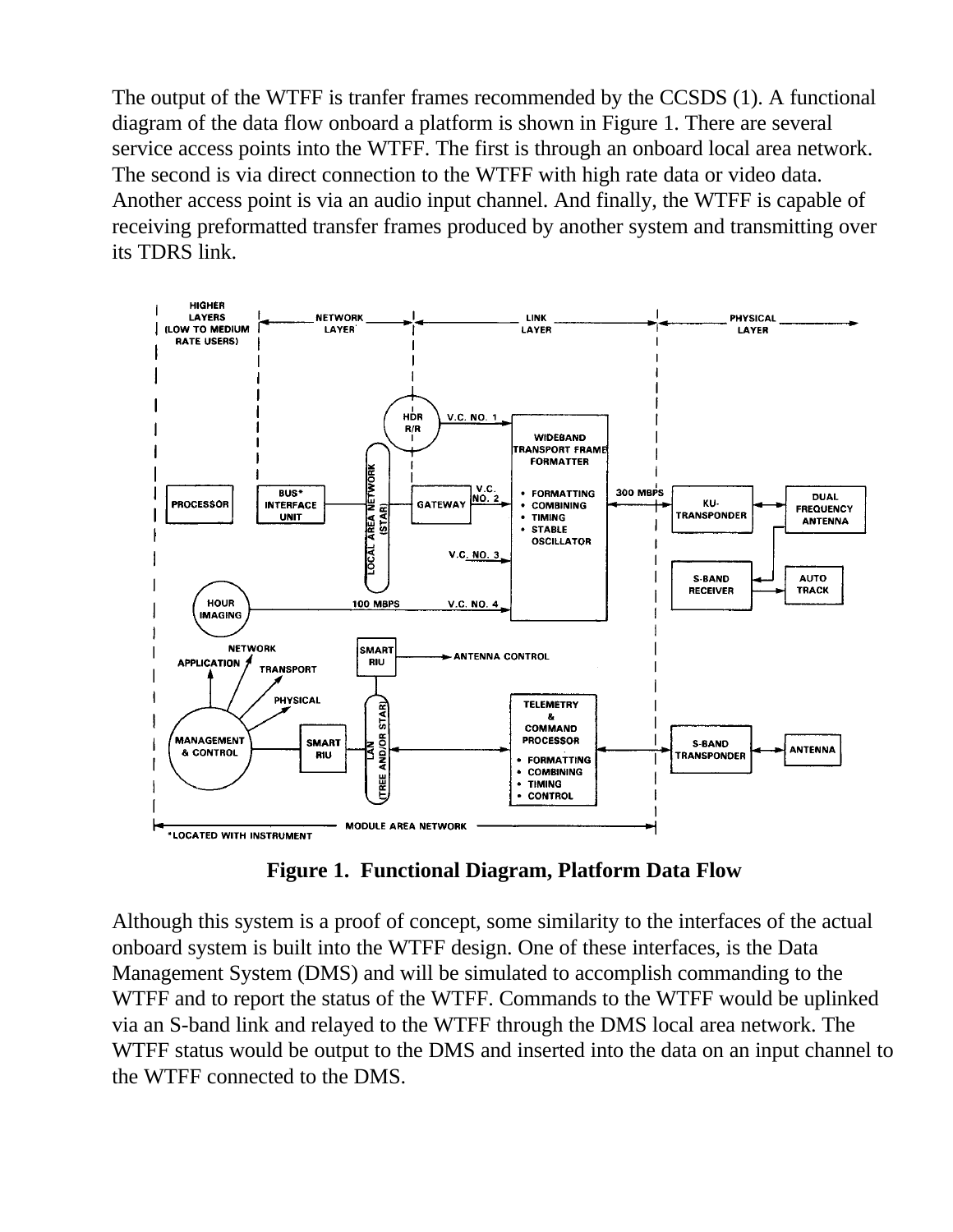The output of the WTFF is tranfer frames recommended by the CCSDS (1). A functional diagram of the data flow onboard a platform is shown in Figure 1. There are several service access points into the WTFF. The first is through an onboard local area network. The second is via direct connection to the WTFF with high rate data or video data. Another access point is via an audio input channel. And finally, the WTFF is capable of receiving preformatted transfer frames produced by another system and transmitting over its TDRS link.



**Figure 1. Functional Diagram, Platform Data Flow**

Although this system is a proof of concept, some similarity to the interfaces of the actual onboard system is built into the WTFF design. One of these interfaces, is the Data Management System (DMS) and will be simulated to accomplish commanding to the WTFF and to report the status of the WTFF. Commands to the WTFF would be uplinked via an S-band link and relayed to the WTFF through the DMS local area network. The WTFF status would be output to the DMS and inserted into the data on an input channel to the WTFF connected to the DMS.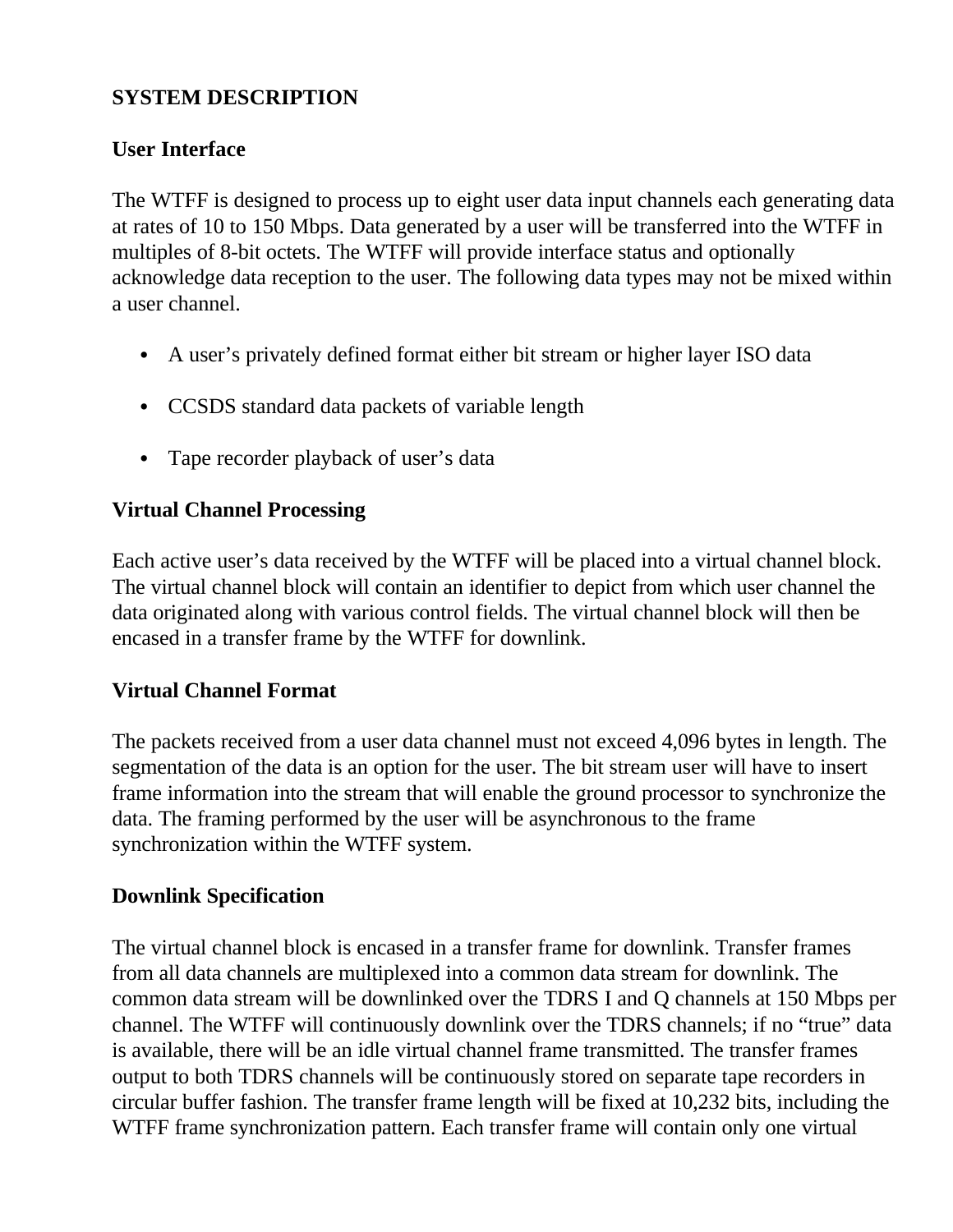## **SYSTEM DESCRIPTION**

## **User Interface**

The WTFF is designed to process up to eight user data input channels each generating data at rates of 10 to 150 Mbps. Data generated by a user will be transferred into the WTFF in multiples of 8-bit octets. The WTFF will provide interface status and optionally acknowledge data reception to the user. The following data types may not be mixed within a user channel.

- A user's privately defined format either bit stream or higher layer ISO data
- CCSDS standard data packets of variable length
- Tape recorder playback of user's data

### **Virtual Channel Processing**

Each active user's data received by the WTFF will be placed into a virtual channel block. The virtual channel block will contain an identifier to depict from which user channel the data originated along with various control fields. The virtual channel block will then be encased in a transfer frame by the WTFF for downlink.

### **Virtual Channel Format**

The packets received from a user data channel must not exceed 4,096 bytes in length. The segmentation of the data is an option for the user. The bit stream user will have to insert frame information into the stream that will enable the ground processor to synchronize the data. The framing performed by the user will be asynchronous to the frame synchronization within the WTFF system.

### **Downlink Specification**

The virtual channel block is encased in a transfer frame for downlink. Transfer frames from all data channels are multiplexed into a common data stream for downlink. The common data stream will be downlinked over the TDRS I and Q channels at 150 Mbps per channel. The WTFF will continuously downlink over the TDRS channels; if no "true" data is available, there will be an idle virtual channel frame transmitted. The transfer frames output to both TDRS channels will be continuously stored on separate tape recorders in circular buffer fashion. The transfer frame length will be fixed at 10,232 bits, including the WTFF frame synchronization pattern. Each transfer frame will contain only one virtual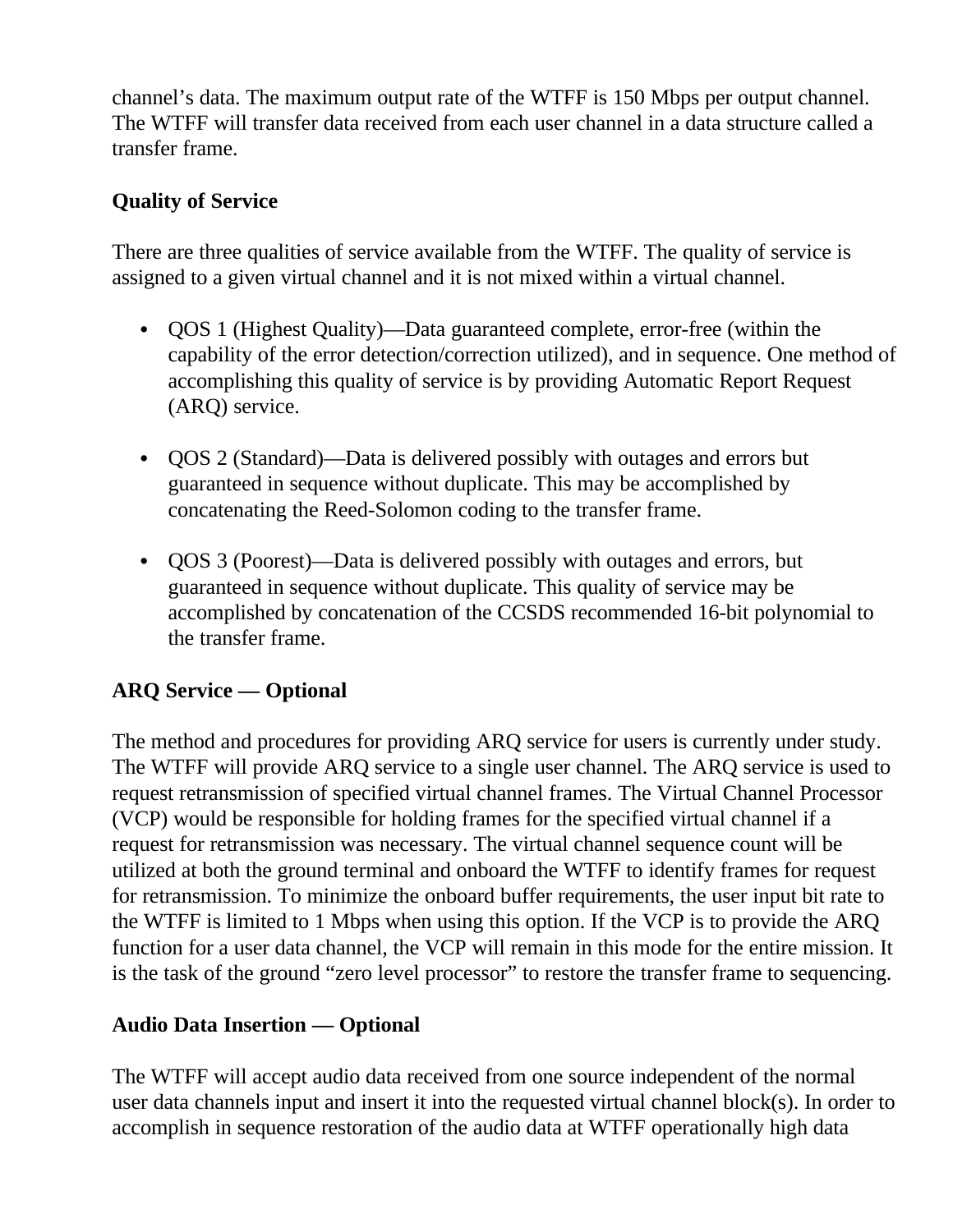channel's data. The maximum output rate of the WTFF is 150 Mbps per output channel. The WTFF will transfer data received from each user channel in a data structure called a transfer frame.

### **Quality of Service**

There are three qualities of service available from the WTFF. The quality of service is assigned to a given virtual channel and it is not mixed within a virtual channel.

- QOS 1 (Highest Quality)—Data guaranteed complete, error-free (within the capability of the error detection/correction utilized), and in sequence. One method of accomplishing this quality of service is by providing Automatic Report Request (ARQ) service.
- QOS 2 (Standard)—Data is delivered possibly with outages and errors but guaranteed in sequence without duplicate. This may be accomplished by concatenating the Reed-Solomon coding to the transfer frame.
- QOS 3 (Poorest)—Data is delivered possibly with outages and errors, but guaranteed in sequence without duplicate. This quality of service may be accomplished by concatenation of the CCSDS recommended 16-bit polynomial to the transfer frame.

### **ARQ Service — Optional**

The method and procedures for providing ARQ service for users is currently under study. The WTFF will provide ARQ service to a single user channel. The ARQ service is used to request retransmission of specified virtual channel frames. The Virtual Channel Processor (VCP) would be responsible for holding frames for the specified virtual channel if a request for retransmission was necessary. The virtual channel sequence count will be utilized at both the ground terminal and onboard the WTFF to identify frames for request for retransmission. To minimize the onboard buffer requirements, the user input bit rate to the WTFF is limited to 1 Mbps when using this option. If the VCP is to provide the ARQ function for a user data channel, the VCP will remain in this mode for the entire mission. It is the task of the ground "zero level processor" to restore the transfer frame to sequencing.

### **Audio Data Insertion — Optional**

The WTFF will accept audio data received from one source independent of the normal user data channels input and insert it into the requested virtual channel block(s). In order to accomplish in sequence restoration of the audio data at WTFF operationally high data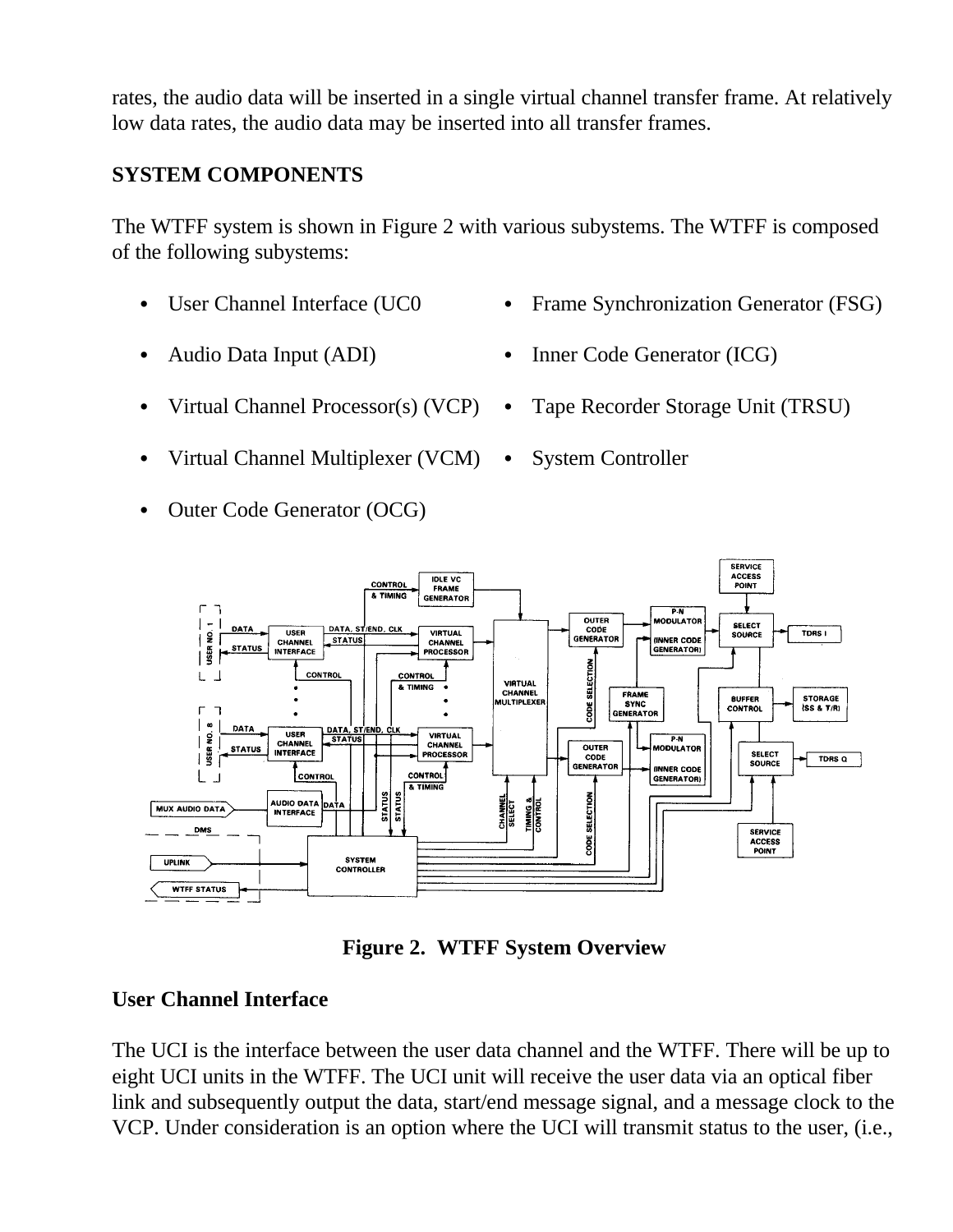rates, the audio data will be inserted in a single virtual channel transfer frame. At relatively low data rates, the audio data may be inserted into all transfer frames.

#### **SYSTEM COMPONENTS**

The WTFF system is shown in Figure 2 with various subystems. The WTFF is composed of the following subystems:

- 
- 
- User Channel Interface (UC0 Frame Synchronization Generator (FSG)
- Audio Data Input (ADI) Inner Code Generator (ICG)
- Virtual Channel Processor(s) (VCP) Tape Recorder Storage Unit (TRSU)
- Virtual Channel Multiplexer (VCM) System Controller
- Outer Code Generator (OCG)
- 



**Figure 2. WTFF System Overview**

### **User Channel Interface**

The UCI is the interface between the user data channel and the WTFF. There will be up to eight UCI units in the WTFF. The UCI unit will receive the user data via an optical fiber link and subsequently output the data, start/end message signal, and a message clock to the VCP. Under consideration is an option where the UCI will transmit status to the user, (i.e.,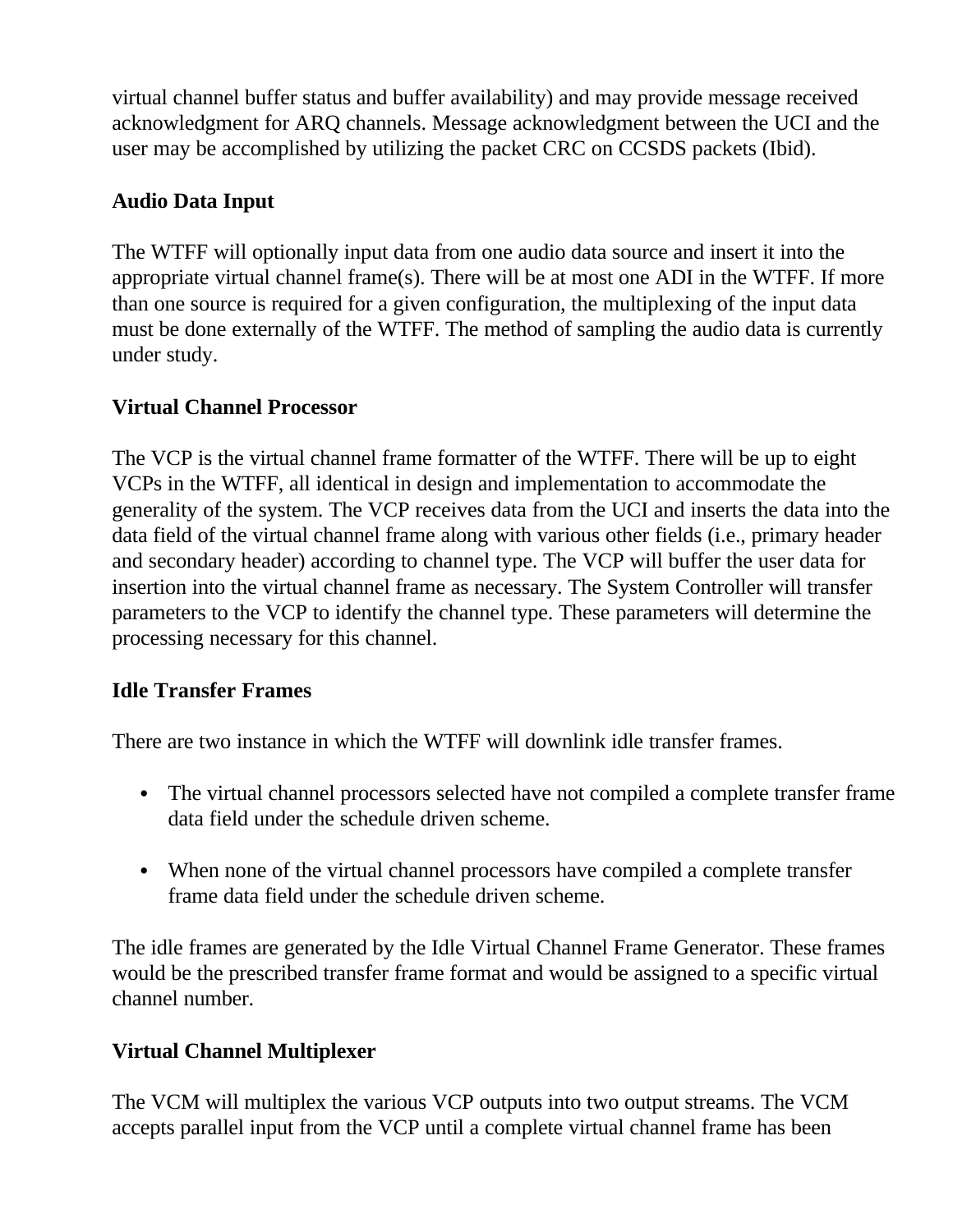virtual channel buffer status and buffer availability) and may provide message received acknowledgment for ARQ channels. Message acknowledgment between the UCI and the user may be accomplished by utilizing the packet CRC on CCSDS packets (Ibid).

## **Audio Data Input**

The WTFF will optionally input data from one audio data source and insert it into the appropriate virtual channel frame(s). There will be at most one ADI in the WTFF. If more than one source is required for a given configuration, the multiplexing of the input data must be done externally of the WTFF. The method of sampling the audio data is currently under study.

### **Virtual Channel Processor**

The VCP is the virtual channel frame formatter of the WTFF. There will be up to eight VCPs in the WTFF, all identical in design and implementation to accommodate the generality of the system. The VCP receives data from the UCI and inserts the data into the data field of the virtual channel frame along with various other fields (i.e., primary header and secondary header) according to channel type. The VCP will buffer the user data for insertion into the virtual channel frame as necessary. The System Controller will transfer parameters to the VCP to identify the channel type. These parameters will determine the processing necessary for this channel.

### **Idle Transfer Frames**

There are two instance in which the WTFF will downlink idle transfer frames.

- The virtual channel processors selected have not compiled a complete transfer frame data field under the schedule driven scheme.
- When none of the virtual channel processors have compiled a complete transfer frame data field under the schedule driven scheme.

The idle frames are generated by the Idle Virtual Channel Frame Generator. These frames would be the prescribed transfer frame format and would be assigned to a specific virtual channel number.

## **Virtual Channel Multiplexer**

The VCM will multiplex the various VCP outputs into two output streams. The VCM accepts parallel input from the VCP until a complete virtual channel frame has been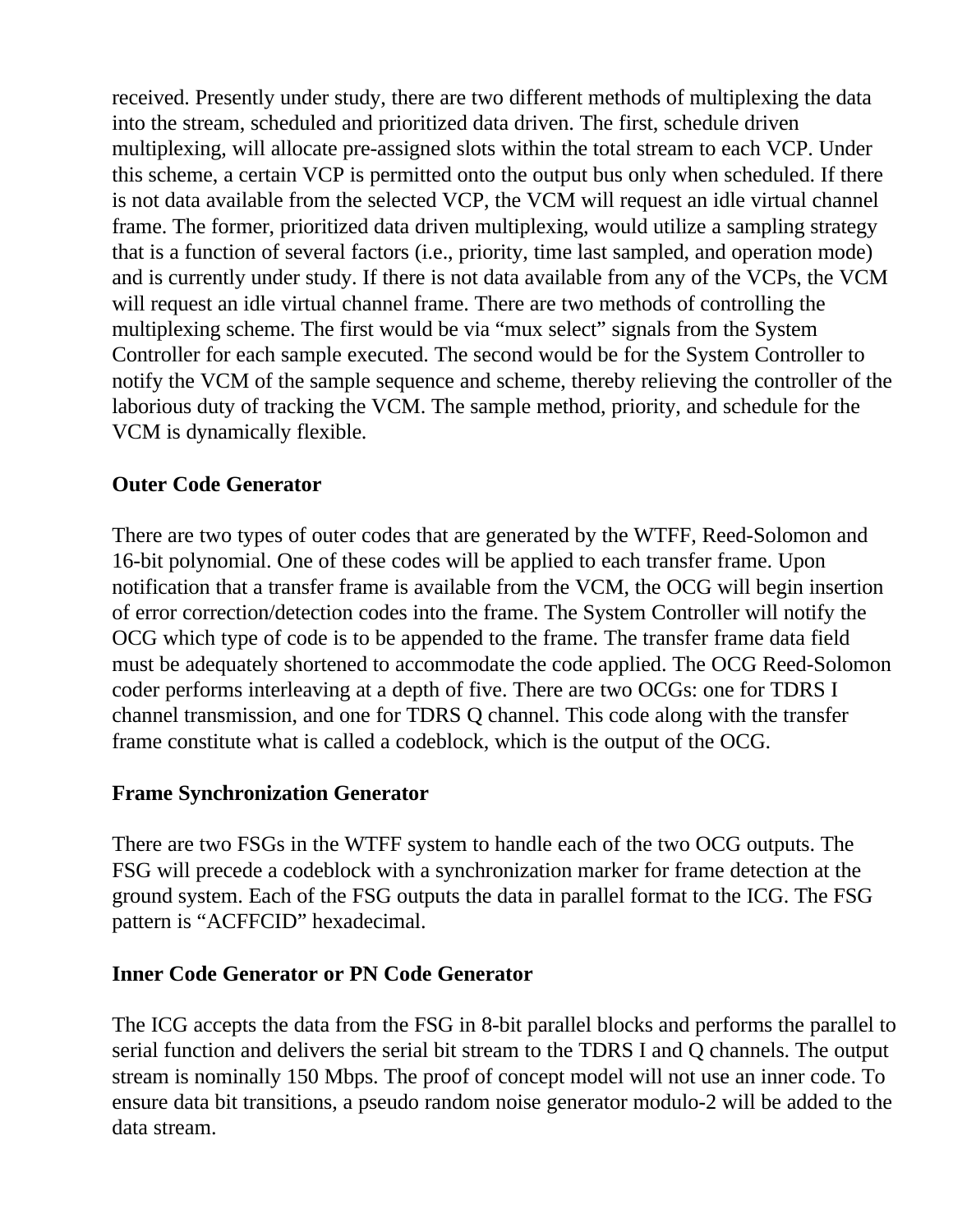received. Presently under study, there are two different methods of multiplexing the data into the stream, scheduled and prioritized data driven. The first, schedule driven multiplexing, will allocate pre-assigned slots within the total stream to each VCP. Under this scheme, a certain VCP is permitted onto the output bus only when scheduled. If there is not data available from the selected VCP, the VCM will request an idle virtual channel frame. The former, prioritized data driven multiplexing, would utilize a sampling strategy that is a function of several factors (i.e., priority, time last sampled, and operation mode) and is currently under study. If there is not data available from any of the VCPs, the VCM will request an idle virtual channel frame. There are two methods of controlling the multiplexing scheme. The first would be via "mux select" signals from the System Controller for each sample executed. The second would be for the System Controller to notify the VCM of the sample sequence and scheme, thereby relieving the controller of the laborious duty of tracking the VCM. The sample method, priority, and schedule for the VCM is dynamically flexible.

### **Outer Code Generator**

There are two types of outer codes that are generated by the WTFF, Reed-Solomon and 16-bit polynomial. One of these codes will be applied to each transfer frame. Upon notification that a transfer frame is available from the VCM, the OCG will begin insertion of error correction/detection codes into the frame. The System Controller will notify the OCG which type of code is to be appended to the frame. The transfer frame data field must be adequately shortened to accommodate the code applied. The OCG Reed-Solomon coder performs interleaving at a depth of five. There are two OCGs: one for TDRS I channel transmission, and one for TDRS Q channel. This code along with the transfer frame constitute what is called a codeblock, which is the output of the OCG.

#### **Frame Synchronization Generator**

There are two FSGs in the WTFF system to handle each of the two OCG outputs. The FSG will precede a codeblock with a synchronization marker for frame detection at the ground system. Each of the FSG outputs the data in parallel format to the ICG. The FSG pattern is "ACFFCID" hexadecimal.

### **Inner Code Generator or PN Code Generator**

The ICG accepts the data from the FSG in 8-bit parallel blocks and performs the parallel to serial function and delivers the serial bit stream to the TDRS I and Q channels. The output stream is nominally 150 Mbps. The proof of concept model will not use an inner code. To ensure data bit transitions, a pseudo random noise generator modulo-2 will be added to the data stream.